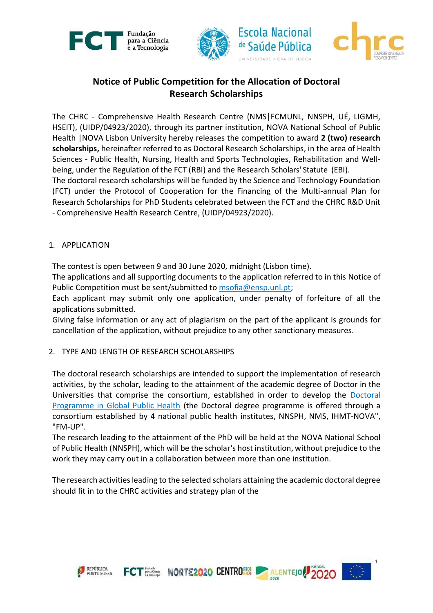



# **Notice of Public Competition for the Allocation of Doctoral Research Scholarships**

The CHRC - Comprehensive Health Research Centre (NMS|FCMUNL, NNSPH, UÉ, LIGMH, HSEIT), (UIDP/04923/2020), through its partner institution, NOVA National School of Public Health |NOVA Lisbon University hereby releases the competition to award **2 (two) research scholarships,** hereinafter referred to as Doctoral Research Scholarships, in the area of Health Sciences - Public Health, Nursing, Health and Sports Technologies, Rehabilitation and Wellbeing, under the Regulation of the FCT (RBI) and the Research Scholars' Statute (EBI). The doctoral research scholarships will be funded by the Science and Technology Foundation (FCT) under the Protocol of Cooperation for the Financing of the Multi-annual Plan for Research Scholarships for PhD Students celebrated between the FCT and the CHRC R&D Unit - Comprehensive Health Research Centre, (UIDP/04923/2020).

# 1. APPLICATION

The contest is open between 9 and 30 June 2020, midnight (Lisbon time).

The applications and all supporting documents to the application referred to in this Notice of Public Competition must be sent/submitted to msofia@ensp.unl.pt;

Each applicant may submit only one application, under penalty of forfeiture of all the applications submitted.

Giving false information or any act of plagiarism on the part of the applicant is grounds for cancellation of the application, without prejudice to any other sanctionary measures.

#### 2. TYPE AND LENGTH OF RESEARCH SCHOLARSHIPS

The doctoral research scholarships are intended to support the implementation of research activities, by the scholar, leading to the attainment of the academic degree of Doctor in the Universities that comprise the consortium, established in order to develop the Doctoral Programme in Global Public Health (the Doctoral degree programme is offered through a consortium established by 4 national public health institutes, NNSPH, NMS, IHMT-NOVA", "FM-UP".

The research leading to the attainment of the PhD will be held at the NOVA National School of Public Health (NNSPH), which will be the scholar's host institution, without prejudice to the work they may carry out in a collaboration between more than one institution.

The research activities leading to the selected scholars attaining the academic doctoral degree should fit in to the CHRC activities and strategy plan of the

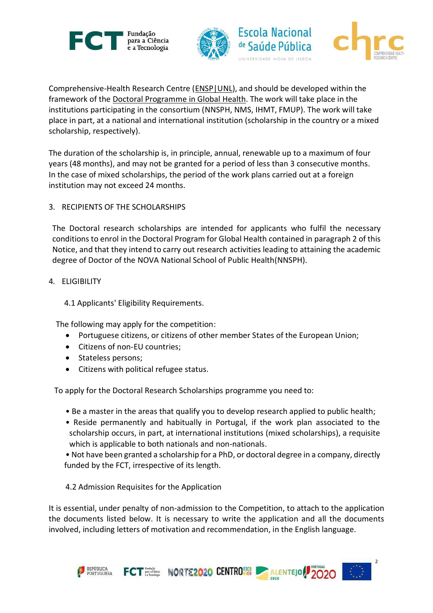



Comprehensive-Health Research Centre (ENSP|UNL), and should be developed within the framework of the Doctoral Programme in Global Health. The work will take place in the institutions participating in the consortium (NNSPH, NMS, IHMT, FMUP). The work will take place in part, at a national and international institution (scholarship in the country or a mixed scholarship, respectively).

The duration of the scholarship is, in principle, annual, renewable up to a maximum of four years (48 months), and may not be granted for a period of less than 3 consecutive months. In the case of mixed scholarships, the period of the work plans carried out at a foreign institution may not exceed 24 months.

3. RECIPIENTS OF THE SCHOLARSHIPS

The Doctoral research scholarships are intended for applicants who fulfil the necessary conditions to enrol in the Doctoral Program for Global Health contained in paragraph 2 of this Notice, and that they intend to carry out research activities leading to attaining the academic degree of Doctor of the NOVA National School of Public Health(NNSPH).

#### 4. ELIGIBILITY

4.1 Applicants' Eligibility Requirements.

The following may apply for the competition:

- Portuguese citizens, or citizens of other member States of the European Union;
- Citizens of non-EU countries;
- Stateless persons;
- Citizens with political refugee status.

To apply for the Doctoral Research Scholarships programme you need to:

- Be a master in the areas that qualify you to develop research applied to public health;
- Reside permanently and habitually in Portugal, if the work plan associated to the scholarship occurs, in part, at international institutions (mixed scholarships), a requisite which is applicable to both nationals and non-nationals.
- Not have been granted a scholarship for a PhD, or doctoral degree in a company, directly funded by the FCT, irrespective of its length.
- 4.2 Admission Requisites for the Application

It is essential, under penalty of non-admission to the Competition, to attach to the application the documents listed below. It is necessary to write the application and all the documents involved, including letters of motivation and recommendation, in the English language.

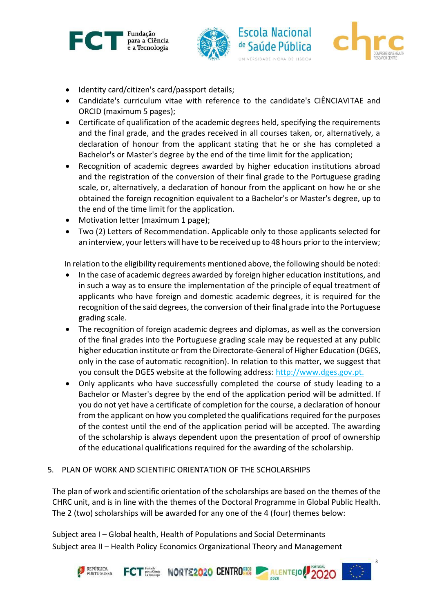



- Identity card/citizen's card/passport details;
- Candidate's curriculum vitae with reference to the candidate's CIÊNCIAVITAE and ORCID (maximum 5 pages);
- Certificate of qualification of the academic degrees held, specifying the requirements and the final grade, and the grades received in all courses taken, or, alternatively, a declaration of honour from the applicant stating that he or she has completed a Bachelor's or Master's degree by the end of the time limit for the application;
- Recognition of academic degrees awarded by higher education institutions abroad and the registration of the conversion of their final grade to the Portuguese grading scale, or, alternatively, a declaration of honour from the applicant on how he or she obtained the foreign recognition equivalent to a Bachelor's or Master's degree, up to the end of the time limit for the application.
- Motivation letter (maximum 1 page);
- Two (2) Letters of Recommendation. Applicable only to those applicants selected for an interview, your letters will have to be received up to 48 hours prior to the interview;

In relation to the eligibility requirements mentioned above, the following should be noted:

- In the case of academic degrees awarded by foreign higher education institutions, and in such a way as to ensure the implementation of the principle of equal treatment of applicants who have foreign and domestic academic degrees, it is required for the recognition of the said degrees, the conversion of their final grade into the Portuguese grading scale.
- The recognition of foreign academic degrees and diplomas, as well as the conversion of the final grades into the Portuguese grading scale may be requested at any public higher education institute or from the Directorate-General of Higher Education (DGES, only in the case of automatic recognition). In relation to this matter, we suggest that you consult the DGES website at the following address: [http://www.dges.gov.pt.](http://www.dges.gov.pt/)
- Only applicants who have successfully completed the course of study leading to a Bachelor or Master's degree by the end of the application period will be admitted. If you do not yet have a certificate of completion for the course, a declaration of honour from the applicant on how you completed the qualifications required for the purposes of the contest until the end of the application period will be accepted. The awarding of the scholarship is always dependent upon the presentation of proof of ownership of the educational qualifications required for the awarding of the scholarship.

#### 5. PLAN OF WORK AND SCIENTIFIC ORIENTATION OF THE SCHOLARSHIPS

The plan of work and scientific orientation of the scholarships are based on the themes of the CHRC unit, and is in line with the themes of the Doctoral Programme in Global Public Health. The 2 (two) scholarships will be awarded for any one of the 4 (four) themes below:

Subject area I – Global health, Health of Populations and Social Determinants Subject area II – Health Policy Economics Organizational Theory and Management

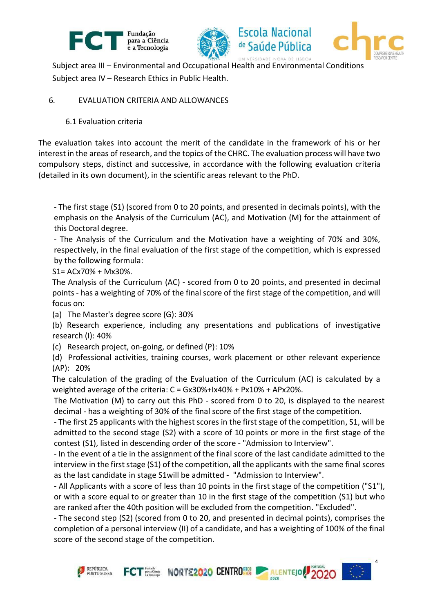



Subject area III – Environmental and Occupational Health and Environmental Conditions Subject area IV – Research Ethics in Public Health.

## 6. EVALUATION CRITERIA AND ALLOWANCES

#### 6.1 Evaluation criteria

The evaluation takes into account the merit of the candidate in the framework of his or her interest in the areas of research, and the topics of the CHRC. The evaluation process will have two compulsory steps, distinct and successive, in accordance with the following evaluation criteria (detailed in its own document), in the scientific areas relevant to the PhD.

- The first stage (S1) (scored from 0 to 20 points, and presented in decimals points), with the emphasis on the Analysis of the Curriculum (AC), and Motivation (M) for the attainment of this Doctoral degree.

- The Analysis of the Curriculum and the Motivation have a weighting of 70% and 30%, respectively, in the final evaluation of the first stage of the competition, which is expressed by the following formula:

S1= ACx70% + Mx30%.

The Analysis of the Curriculum (AC) - scored from 0 to 20 points, and presented in decimal points - has a weighting of 70% of the final score of the first stage of the competition, and will focus on:

(a) The Master's degree score (G): 30%

(b) Research experience, including any presentations and publications of investigative research (I): 40%

(c) Research project, on-going, or defined (P): 10%

(d) Professional activities, training courses, work placement or other relevant experience (AP): 20%

The calculation of the grading of the Evaluation of the Curriculum (AC) is calculated by a weighted average of the criteria: C = Gx30%+Ix40% + Px10% + APx20%.

The Motivation (M) to carry out this PhD - scored from 0 to 20, is displayed to the nearest decimal - has a weighting of 30% of the final score of the first stage of the competition.

- The first 25 applicants with the highest scores in the first stage of the competition, S1, will be admitted to the second stage (S2) with a score of 10 points or more in the first stage of the contest (S1), listed in descending order of the score - "Admission to Interview".

- In the event of a tie in the assignment of the final score of the last candidate admitted to the interview in the first stage (S1) of the competition, all the applicants with the same final scores as the last candidate in stage S1will be admitted - "Admission to Interview".

- All Applicants with a score of less than 10 points in the first stage of the competition ("S1"), or with a score equal to or greater than 10 in the first stage of the competition (S1) but who are ranked after the 40th position will be excluded from the competition. "Excluded".

- The second step (S2) (scored from 0 to 20, and presented in decimal points), comprises the completion of a personal interview (II) of a candidate, and has a weighting of 100% of the final score of the second stage of the competition.

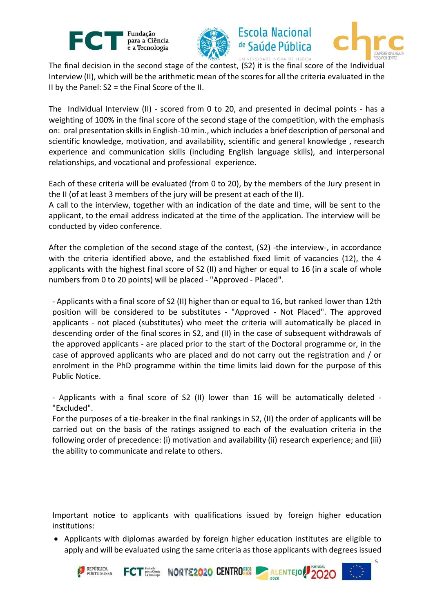



**Escola Nacional** 

de Saúde Pública

UNIVERSIDADE NOVA DE LISBOA



5

The final decision in the second stage of the contest, (S2) it is the final score of the Individual Interview (II), which will be the arithmetic mean of the scores for all the criteria evaluated in the II by the Panel: S2 = the Final Score of the II.

The Individual Interview (II) - scored from 0 to 20, and presented in decimal points - has a weighting of 100% in the final score of the second stage of the competition, with the emphasis on: oral presentation skills in English-10 min., which includes a brief description of personal and scientific knowledge, motivation, and availability, scientific and general knowledge , research experience and communication skills (including English language skills), and interpersonal relationships, and vocational and professional experience.

Each of these criteria will be evaluated (from 0 to 20), by the members of the Jury present in the II (of at least 3 members of the jury will be present at each of the II).

A call to the interview, together with an indication of the date and time, will be sent to the applicant, to the email address indicated at the time of the application. The interview will be conducted by video conference.

After the completion of the second stage of the contest, (S2) -the interview-, in accordance with the criteria identified above, and the established fixed limit of vacancies (12), the 4 applicants with the highest final score of S2 (II) and higher or equal to 16 (in a scale of whole numbers from 0 to 20 points) will be placed - "Approved - Placed".

- Applicants with a final score of S2 (II) higher than or equal to 16, but ranked lower than 12th position will be considered to be substitutes - "Approved - Not Placed". The approved applicants - not placed (substitutes) who meet the criteria will automatically be placed in descending order of the final scores in S2, and (II) in the case of subsequent withdrawals of the approved applicants - are placed prior to the start of the Doctoral programme or, in the case of approved applicants who are placed and do not carry out the registration and / or enrolment in the PhD programme within the time limits laid down for the purpose of this Public Notice.

- Applicants with a final score of S2 (II) lower than 16 will be automatically deleted - "Excluded".

For the purposes of a tie-breaker in the final rankings in S2, (II) the order of applicants will be carried out on the basis of the ratings assigned to each of the evaluation criteria in the following order of precedence: (i) motivation and availability (ii) research experience; and (iii) the ability to communicate and relate to others.

Important notice to applicants with qualifications issued by foreign higher education institutions:

• Applicants with diplomas awarded by foreign higher education institutes are eligible to apply and will be evaluated using the same criteria as those applicants with degrees issued

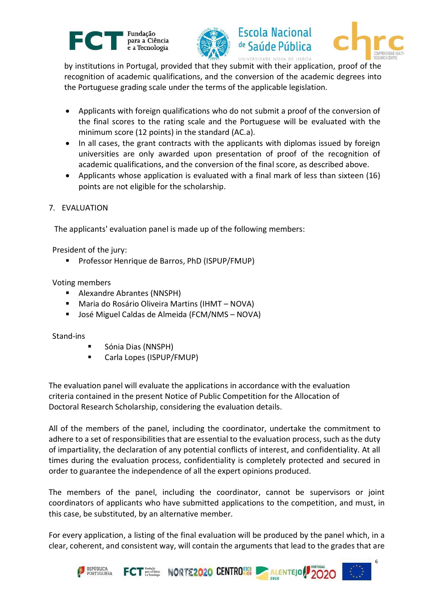





by institutions in Portugal, provided that they submit with their application, proof of the recognition of academic qualifications, and the conversion of the academic degrees into the Portuguese grading scale under the terms of the applicable legislation.

- Applicants with foreign qualifications who do not submit a proof of the conversion of the final scores to the rating scale and the Portuguese will be evaluated with the minimum score (12 points) in the standard (AC.a).
- In all cases, the grant contracts with the applicants with diplomas issued by foreign universities are only awarded upon presentation of proof of the recognition of academic qualifications, and the conversion of the final score, as described above.
- Applicants whose application is evaluated with a final mark of less than sixteen (16) points are not eligible for the scholarship.
- 7. EVALUATION

The applicants' evaluation panel is made up of the following members:

President of the jury:

Professor Henrique de Barros, PhD (ISPUP/FMUP)

Voting members

- Alexandre Abrantes (NNSPH)
- Maria do Rosário Oliveira Martins (IHMT NOVA)
- José Miguel Caldas de Almeida (FCM/NMS NOVA)

Stand-ins

- Sónia Dias (NNSPH)
- Carla Lopes (ISPUP/FMUP)

The evaluation panel will evaluate the applications in accordance with the evaluation criteria contained in the present Notice of Public Competition for the Allocation of Doctoral Research Scholarship, considering the evaluation details.

All of the members of the panel, including the coordinator, undertake the commitment to adhere to a set of responsibilities that are essential to the evaluation process, such as the duty of impartiality, the declaration of any potential conflicts of interest, and confidentiality. At all times during the evaluation process, confidentiality is completely protected and secured in order to guarantee the independence of all the expert opinions produced.

The members of the panel, including the coordinator, cannot be supervisors or joint coordinators of applicants who have submitted applications to the competition, and must, in this case, be substituted, by an alternative member.

For every application, a listing of the final evaluation will be produced by the panel which, in a clear, coherent, and consistent way, will contain the arguments that lead to the grades that are

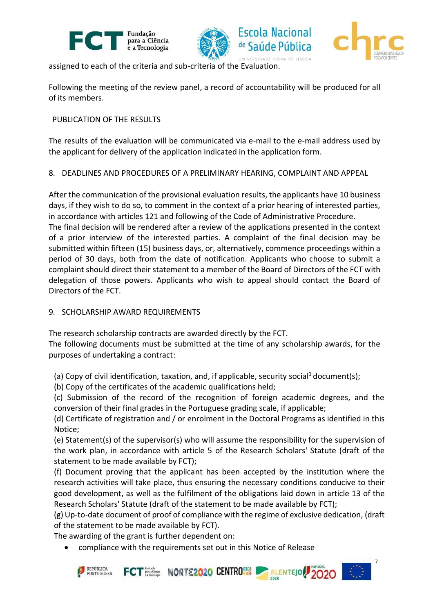



assigned to each of the criteria and sub-criteria of the Evaluation.

Following the meeting of the review panel, a record of accountability will be produced for all of its members.

## PUBLICATION OF THE RESULTS

The results of the evaluation will be communicated via e-mail to the e-mail address used by the applicant for delivery of the application indicated in the application form.

## 8. DEADLINES AND PROCEDURES OF A PRELIMINARY HEARING, COMPLAINT AND APPEAL

After the communication of the provisional evaluation results, the applicants have 10 business days, if they wish to do so, to comment in the context of a prior hearing of interested parties, in accordance with articles 121 and following of the Code of Administrative Procedure.

The final decision will be rendered after a review of the applications presented in the context of a prior interview of the interested parties. A complaint of the final decision may be submitted within fifteen (15) business days, or, alternatively, commence proceedings within a period of 30 days, both from the date of notification. Applicants who choose to submit a complaint should direct their statement to a member of the Board of Directors of the FCT with delegation of those powers. Applicants who wish to appeal should contact the Board of Directors of the FCT.

## 9. SCHOLARSHIP AWARD REQUIREMENTS

The research scholarship contracts are awarded directly by the FCT.

The following documents must be submitted at the time of any scholarship awards, for the purposes of undertaking a contract:

(a) Copy of civil identification, taxation, and, if applicable, security social<sup>1</sup> document(s);

(b) Copy of the certificates of the academic qualifications held;

(c) Submission of the record of the recognition of foreign academic degrees, and the conversion of their final grades in the Portuguese grading scale, if applicable;

(d) Certificate of registration and / or enrolment in the Doctoral Programs as identified in this Notice;

(e) Statement(s) of the supervisor(s) who will assume the responsibility for the supervision of the work plan, in accordance with article 5 of the Research Scholars' Statute (draft of the statement to be made available by FCT);

(f) Document proving that the applicant has been accepted by the institution where the research activities will take place, thus ensuring the necessary conditions conducive to their good development, as well as the fulfilment of the obligations laid down in article 13 of the Research Scholars' Statute (draft of the statement to be made available by FCT);

(g) Up-to-date document of proof of compliance with the regime of exclusive dedication, (draft of the statement to be made available by FCT).

7

The awarding of the grant is further dependent on:

compliance with the requirements set out in this Notice of Release

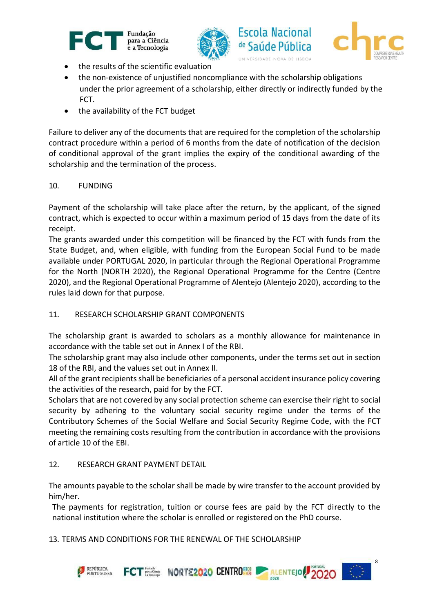





8

- the results of the scientific evaluation
- the non-existence of unjustified noncompliance with the scholarship obligations under the prior agreement of a scholarship, either directly or indirectly funded by the FCT.
- the availability of the FCT budget

Failure to deliver any of the documents that are required for the completion of the scholarship contract procedure within a period of 6 months from the date of notification of the decision of conditional approval of the grant implies the expiry of the conditional awarding of the scholarship and the termination of the process.

## 10. FUNDING

Payment of the scholarship will take place after the return, by the applicant, of the signed contract, which is expected to occur within a maximum period of 15 days from the date of its receipt.

The grants awarded under this competition will be financed by the FCT with funds from the State Budget, and, when eligible, with funding from the European Social Fund to be made available under PORTUGAL 2020, in particular through the Regional Operational Programme for the North (NORTH 2020), the Regional Operational Programme for the Centre (Centre 2020), and the Regional Operational Programme of Alentejo (Alentejo 2020), according to the rules laid down for that purpose.

## 11. RESEARCH SCHOLARSHIP GRANT COMPONENTS

The scholarship grant is awarded to scholars as a monthly allowance for maintenance in accordance with the table set out in Annex I of the RBI.

The scholarship grant may also include other components, under the terms set out in section 18 of the RBI, and the values set out in Annex II.

All of the grant recipients shall be beneficiaries of a personal accident insurance policy covering the activities of the research, paid for by the FCT.

Scholars that are not covered by any social protection scheme can exercise their right to social security by adhering to the voluntary social security regime under the terms of the Contributory Schemes of the Social Welfare and Social Security Regime Code, with the FCT meeting the remaining costs resulting from the contribution in accordance with the provisions of article 10 of the EBI.

## 12. RESEARCH GRANT PAYMENT DETAIL

The amounts payable to the scholar shall be made by wire transfer to the account provided by him/her.

The payments for registration, tuition or course fees are paid by the FCT directly to the national institution where the scholar is enrolled or registered on the PhD course.

13. TERMS AND CONDITIONS FOR THE RENEWAL OF THE SCHOLARSHIP

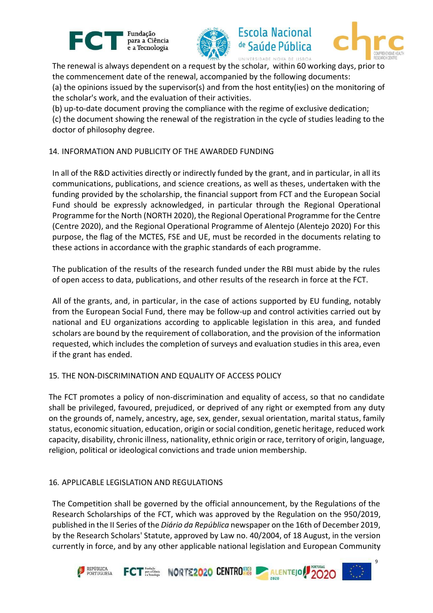





UNIVERSIDADE NOVA DE LISBOA The renewal is always dependent on a request by the scholar, within 60 working days, prior to the commencement date of the renewal, accompanied by the following documents: (a) the opinions issued by the supervisor(s) and from the host entity(ies) on the monitoring of the scholar's work, and the evaluation of their activities.

(b) up-to-date document proving the compliance with the regime of exclusive dedication;

(c) the document showing the renewal of the registration in the cycle of studies leading to the doctor of philosophy degree.

#### 14. INFORMATION AND PUBLICITY OF THE AWARDED FUNDING

In all of the R&D activities directly or indirectly funded by the grant, and in particular, in all its communications, publications, and science creations, as well as theses, undertaken with the funding provided by the scholarship, the financial support from FCT and the European Social Fund should be expressly acknowledged, in particular through the Regional Operational Programme for the North (NORTH 2020), the Regional Operational Programme for the Centre (Centre 2020), and the Regional Operational Programme of Alentejo (Alentejo 2020) For this purpose, the flag of the MCTES, FSE and UE, must be recorded in the documents relating to these actions in accordance with the graphic standards of each programme.

The publication of the results of the research funded under the RBI must abide by the rules of open access to data, publications, and other results of the research in force at the FCT.

All of the grants, and, in particular, in the case of actions supported by EU funding, notably from the European Social Fund, there may be follow-up and control activities carried out by national and EU organizations according to applicable legislation in this area, and funded scholars are bound by the requirement of collaboration, and the provision of the information requested, which includes the completion of surveys and evaluation studies in this area, even if the grant has ended.

## 15. THE NON-DISCRIMINATION AND EQUALITY OF ACCESS POLICY

The FCT promotes a policy of non-discrimination and equality of access, so that no candidate shall be privileged, favoured, prejudiced, or deprived of any right or exempted from any duty on the grounds of, namely, ancestry, age, sex, gender, sexual orientation, marital status, family status, economic situation, education, origin or social condition, genetic heritage, reduced work capacity, disability, chronic illness, nationality, ethnic origin or race, territory of origin, language, religion, political or ideological convictions and trade union membership.

## 16. APPLICABLE LEGISLATION AND REGULATIONS

The Competition shall be governed by the official announcement, by the Regulations of the Research Scholarships of the FCT, which was approved by the Regulation on the 950/2019, published in the II Series of the *Diário da República* newspaper on the 16th of December 2019, by the Research Scholars' Statute, approved by Law no. 40/2004, of 18 August, in the version currently in force, and by any other applicable national legislation and European Community